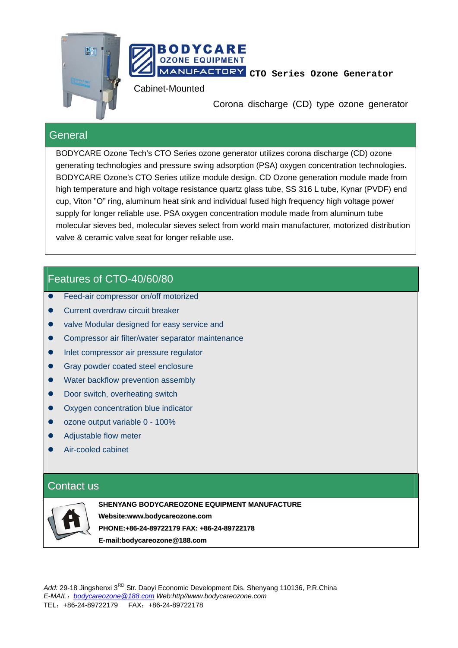



**MANUFACTORY** CTO Series Ozone Generator

Cabinet-Mounted

Corona discharge (CD) type ozone generator

#### **General**

BODYCARE Ozone Tech's CTO Series ozone generator utilizes corona discharge (CD) ozone generating technologies and pressure swing adsorption (PSA) oxygen concentration technologies. BODYCARE Ozone's CTO Series utilize module design. CD Ozone generation module made from high temperature and high voltage resistance quartz glass tube, SS 316 L tube, Kynar (PVDF) end cup, Viton "O" ring, aluminum heat sink and individual fused high frequency high voltage power supply for longer reliable use. PSA oxygen concentration module made from aluminum tube molecular sieves bed, molecular sieves select from world main manufacturer, motorized distribution valve & ceramic valve seat for longer reliable use.

## Features of CTO-40/60/80

- Feed-air compressor on/off motorized
- Current overdraw circuit breaker
- valve Modular designed for easy service and
- **•** Compressor air filter/water separator maintenance
- Inlet compressor air pressure regulator
- Gray powder coated steel enclosure
- Water backflow prevention assembly
- Door switch, overheating switch
- Oxygen concentration blue indicator
- ozone output variable 0 100%
- Adiustable flow meter
- Air-cooled cabinet

### Contact us



**SHENYANG BODYCAREOZONE EQUIPMENT MANUFACTURE Website:www.bodycareozone.com PHONE:+86-24-89722179 FAX: +86-24-89722178 E-mail:bodycareozone@188.com**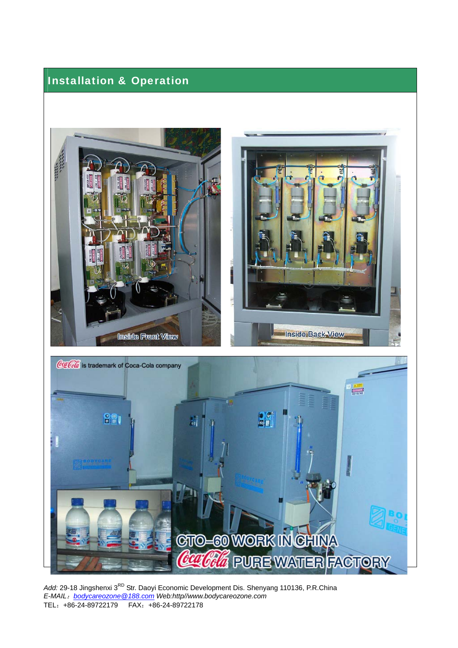# Installation & Operation



Add: 29-18 Jingshenxi 3<sup>RD</sup> Str. Daoyi Economic Development Dis. Shenyang 110136, P.R.China *E-MAIL*:*bodycareozone@188.com Web:http//www.bodycareozone.com*  TEL:+86-24-89722179 FAX:+86-24-89722178